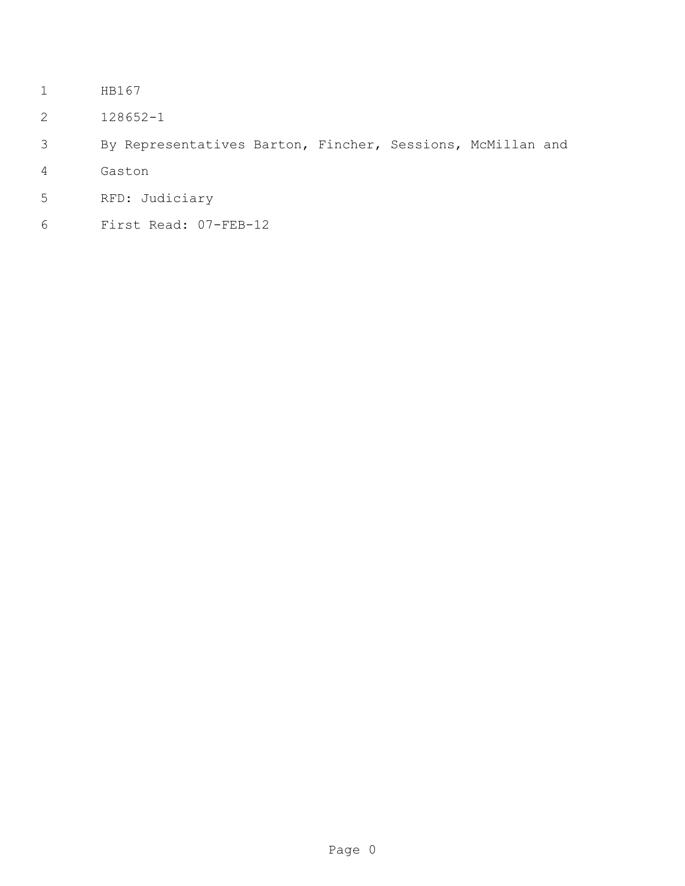- HB167
- 128652-1
- By Representatives Barton, Fincher, Sessions, McMillan and
- Gaston
- RFD: Judiciary
- First Read: 07-FEB-12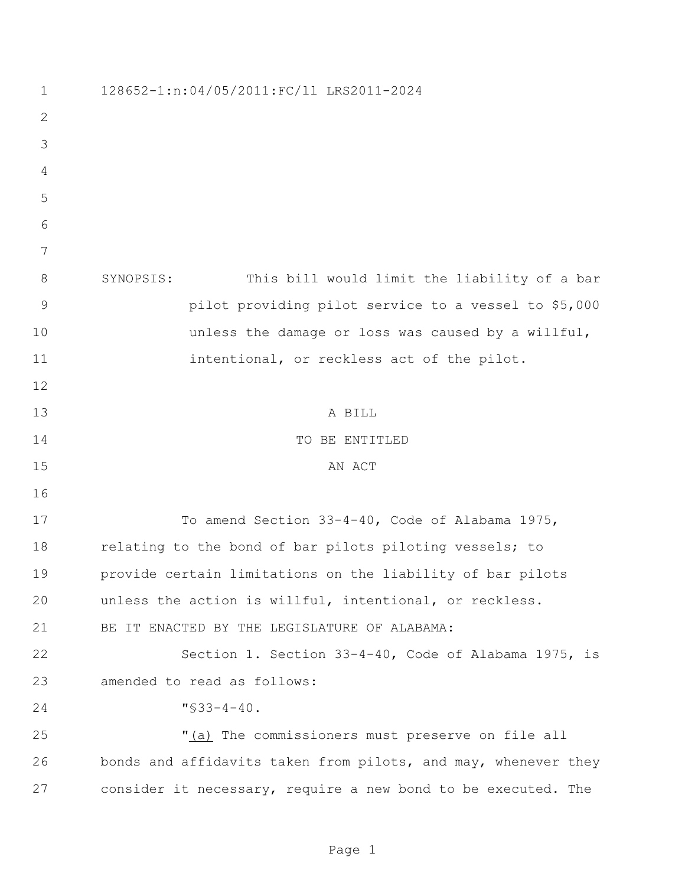| $\mathbf 1$  | 128652-1:n:04/05/2011:FC/11 LRS2011-2024                       |
|--------------|----------------------------------------------------------------|
| $\mathbf{2}$ |                                                                |
| 3            |                                                                |
| 4            |                                                                |
| 5            |                                                                |
| 6            |                                                                |
| 7            |                                                                |
| 8            | SYNOPSIS:<br>This bill would limit the liability of a bar      |
| 9            | pilot providing pilot service to a vessel to \$5,000           |
| 10           | unless the damage or loss was caused by a willful,             |
| 11           | intentional, or reckless act of the pilot.                     |
| 12           |                                                                |
| 13           | A BILL                                                         |
| 14           | TO BE ENTITLED                                                 |
| 15           | AN ACT                                                         |
| 16           |                                                                |
| 17           | To amend Section 33-4-40, Code of Alabama 1975,                |
| 18           | relating to the bond of bar pilots piloting vessels; to        |
| 19           | provide certain limitations on the liability of bar pilots     |
| 20           | unless the action is willful, intentional, or reckless.        |
| 21           | BE IT ENACTED BY THE LEGISLATURE OF ALABAMA:                   |
| 22           | Section 1. Section 33-4-40, Code of Alabama 1975, is           |
| 23           | amended to read as follows:                                    |
| 24           | $\sqrt{533-4-40}$ .                                            |
| 25           | "(a) The commissioners must preserve on file all               |
| 26           | bonds and affidavits taken from pilots, and may, whenever they |
| 27           | consider it necessary, require a new bond to be executed. The  |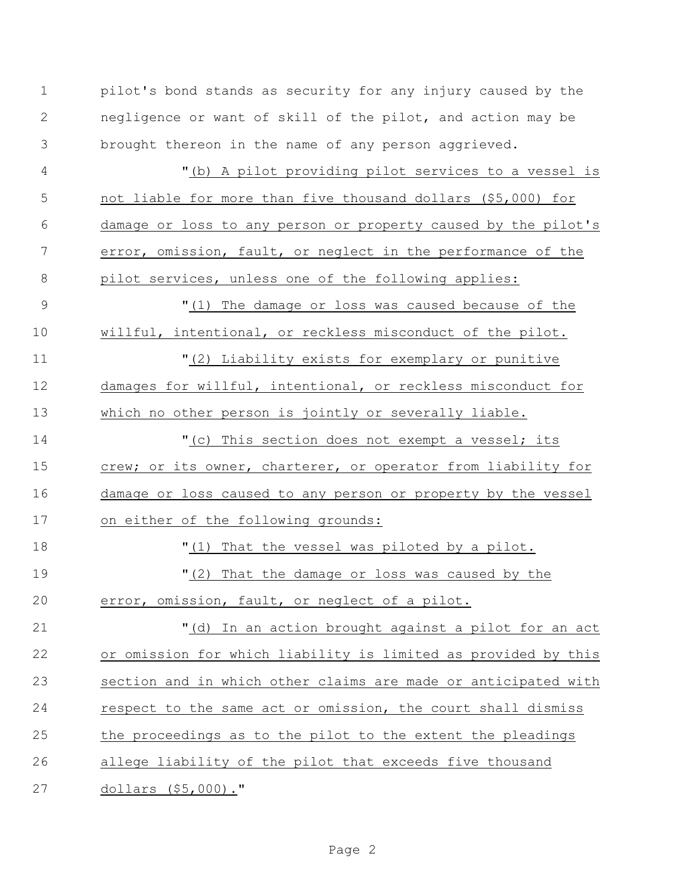| $\mathbf 1$ | pilot's bond stands as security for any injury caused by the   |
|-------------|----------------------------------------------------------------|
| 2           | negligence or want of skill of the pilot, and action may be    |
| 3           | brought thereon in the name of any person aggrieved.           |
| 4           | "(b) A pilot providing pilot services to a vessel is           |
| 5           | not liable for more than five thousand dollars (\$5,000) for   |
| 6           | damage or loss to any person or property caused by the pilot's |
| 7           | error, omission, fault, or neglect in the performance of the   |
| 8           | pilot services, unless one of the following applies:           |
| 9           | "(1) The damage or loss was caused because of the              |
| 10          | willful, intentional, or reckless misconduct of the pilot.     |
| 11          | "(2) Liability exists for exemplary or punitive                |
| 12          | damages for willful, intentional, or reckless misconduct for   |
| 13          | which no other person is jointly or severally liable.          |
| 14          | "(c) This section does not exempt a vessel; its                |
| 15          | crew; or its owner, charterer, or operator from liability for  |
| 16          | damage or loss caused to any person or property by the vessel  |
| 17          | on either of the following grounds:                            |
| 18          | "(1) That the vessel was piloted by a pilot.                   |
| 19          | "(2) That the damage or loss was caused by the                 |
| 20          | error, omission, fault, or neglect of a pilot.                 |
| 21          | In an action brought against a pilot for an act<br>" $(d)$     |
| 22          | or omission for which liability is limited as provided by this |
| 23          | section and in which other claims are made or anticipated with |
| 24          | respect to the same act or omission, the court shall dismiss   |
| 25          | the proceedings as to the pilot to the extent the pleadings    |
| 26          | allege liability of the pilot that exceeds five thousand       |
| 27          | dollars (\$5,000)."                                            |